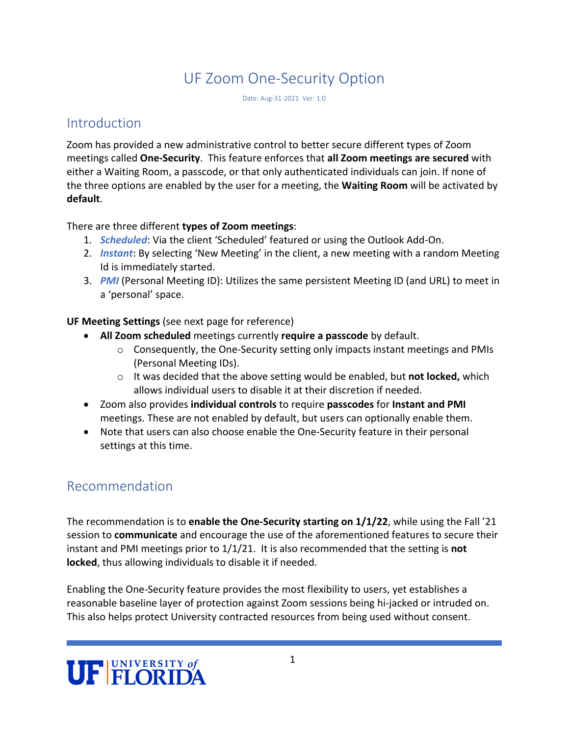# UF Zoom One-Security Option

Date: Aug-31-2021 Ver: 1.0

# **Introduction**

Zoom has provided a new administrative control to better secure different types of Zoom meetings called **One-Security**. This feature enforces that **all Zoom meetings are secured** with either a Waiting Room, a passcode, or that only authenticated individuals can join. If none of the three options are enabled by the user for a meeting, the **Waiting Room** will be activated by **default**.

### There are three different **types of Zoom meetings**:

- 1. *Scheduled*: Via the client 'Scheduled' featured or using the Outlook Add-On.
- 2. *Instant*: By selecting 'New Meeting' in the client, a new meeting with a random Meeting Id is immediately started.
- 3. *PMI* (Personal Meeting ID): Utilizes the same persistent Meeting ID (and URL) to meet in a 'personal' space.

### **UF Meeting Settings** (see next page for reference)

- **All Zoom scheduled** meetings currently **require a passcode** by default.
	- $\circ$  Consequently, the One-Security setting only impacts instant meetings and PMIs (Personal Meeting IDs).
	- o It was decided that the above setting would be enabled, but **not locked,** which allows individual users to disable it at their discretion if needed.
- Zoom also provides **individual controls** to require **passcodes** for **Instant and PMI** meetings. These are not enabled by default, but users can optionally enable them.
- Note that users can also choose enable the One-Security feature in their personal settings at this time.

# Recommendation

The recommendation is to **enable the One-Security starting on 1/1/22**, while using the Fall '21 session to **communicate** and encourage the use of the aforementioned features to secure their instant and PMI meetings prior to 1/1/21. It is also recommended that the setting is **not locked**, thus allowing individuals to disable it if needed.

Enabling the One-Security feature provides the most flexibility to users, yet establishes a reasonable baseline layer of protection against Zoom sessions being hi-jacked or intruded on. This also helps protect University contracted resources from being used without consent.